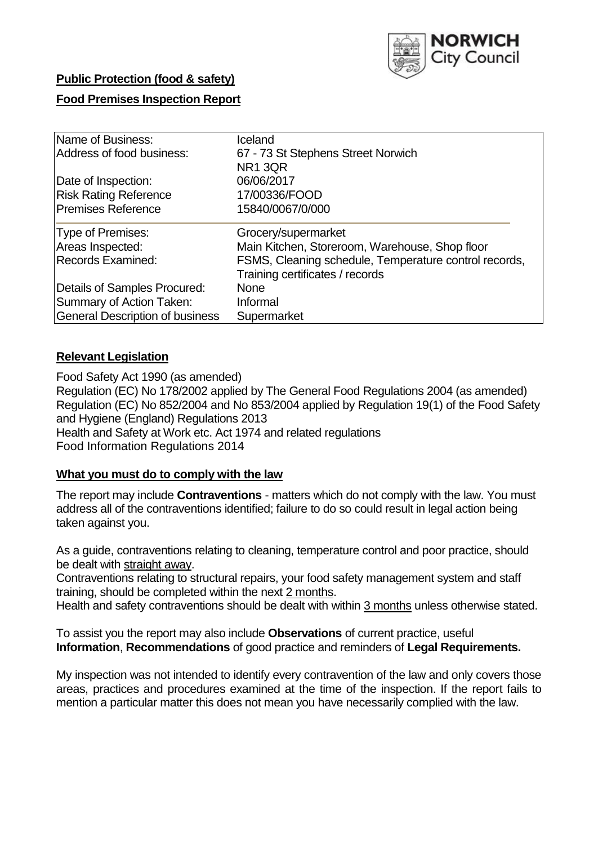

### **Public Protection (food & safety)**

### **Food Premises Inspection Report**

| Name of Business:                      | Iceland                                               |
|----------------------------------------|-------------------------------------------------------|
| Address of food business:              | 67 - 73 St Stephens Street Norwich                    |
|                                        | NR1 3QR                                               |
| Date of Inspection:                    | 06/06/2017                                            |
| <b>Risk Rating Reference</b>           | 17/00336/FOOD                                         |
| <b>Premises Reference</b>              | 15840/0067/0/000                                      |
| Type of Premises:                      | Grocery/supermarket                                   |
| Areas Inspected:                       | Main Kitchen, Storeroom, Warehouse, Shop floor        |
| <b>Records Examined:</b>               | FSMS, Cleaning schedule, Temperature control records, |
|                                        | Training certificates / records                       |
| Details of Samples Procured:           | <b>None</b>                                           |
| Summary of Action Taken:               | Informal                                              |
| <b>General Description of business</b> | Supermarket                                           |

### **Relevant Legislation**

Food Safety Act 1990 (as amended) Regulation (EC) No 178/2002 applied by The General Food Regulations 2004 (as amended) Regulation (EC) No 852/2004 and No 853/2004 applied by Regulation 19(1) of the Food Safety and Hygiene (England) Regulations 2013 Health and Safety at Work etc. Act 1974 and related regulations Food Information Regulations 2014

### **What you must do to comply with the law**

The report may include **Contraventions** - matters which do not comply with the law. You must address all of the contraventions identified; failure to do so could result in legal action being taken against you.

As a guide, contraventions relating to cleaning, temperature control and poor practice, should be dealt with straight away.

Contraventions relating to structural repairs, your food safety management system and staff training, should be completed within the next 2 months.

Health and safety contraventions should be dealt with within 3 months unless otherwise stated.

To assist you the report may also include **Observations** of current practice, useful **Information**, **Recommendations** of good practice and reminders of **Legal Requirements.**

My inspection was not intended to identify every contravention of the law and only covers those areas, practices and procedures examined at the time of the inspection. If the report fails to mention a particular matter this does not mean you have necessarily complied with the law.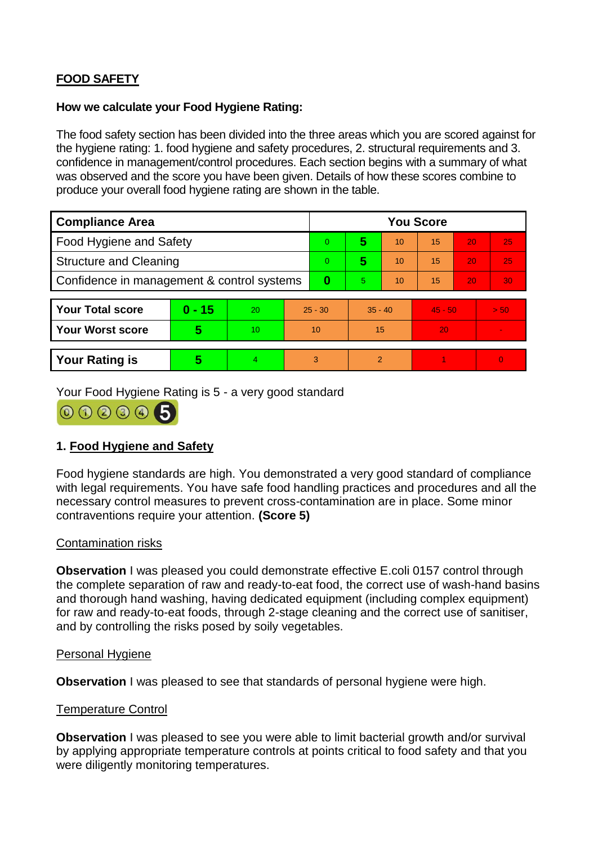# **FOOD SAFETY**

### **How we calculate your Food Hygiene Rating:**

The food safety section has been divided into the three areas which you are scored against for the hygiene rating: 1. food hygiene and safety procedures, 2. structural requirements and 3. confidence in management/control procedures. Each section begins with a summary of what was observed and the score you have been given. Details of how these scores combine to produce your overall food hygiene rating are shown in the table.

| <b>Compliance Area</b>                     |                         |                  |           | <b>You Score</b> |                |    |           |    |                |  |  |
|--------------------------------------------|-------------------------|------------------|-----------|------------------|----------------|----|-----------|----|----------------|--|--|
| Food Hygiene and Safety                    |                         |                  |           | 0                | 5              | 10 | 15        | 20 | 25             |  |  |
| <b>Structure and Cleaning</b>              |                         |                  | 0         | 5                | 10             | 15 | 20        | 25 |                |  |  |
| Confidence in management & control systems |                         |                  | 0         | 5                | 10             | 15 | 20        | 30 |                |  |  |
|                                            |                         |                  |           |                  |                |    |           |    |                |  |  |
| <b>Your Total score</b>                    | $0 - 15$                | 20               | $25 - 30$ |                  | $35 - 40$      |    | $45 - 50$ |    | > 50           |  |  |
| <b>Your Worst score</b>                    | $\overline{\mathbf{5}}$ | 10 <sup>10</sup> | 10        |                  | 15             |    | 20        |    | $\blacksquare$ |  |  |
|                                            |                         |                  |           |                  |                |    |           |    |                |  |  |
| <b>Your Rating is</b>                      | 5                       | $\overline{4}$   | 3         |                  | $\overline{2}$ |    |           |    | $\overline{0}$ |  |  |

Your Food Hygiene Rating is 5 - a very good standard



### **1. Food Hygiene and Safety**

Food hygiene standards are high. You demonstrated a very good standard of compliance with legal requirements. You have safe food handling practices and procedures and all the necessary control measures to prevent cross-contamination are in place. Some minor contraventions require your attention. **(Score 5)**

### Contamination risks

**Observation** I was pleased you could demonstrate effective E.coli 0157 control through the complete separation of raw and ready-to-eat food, the correct use of wash-hand basins and thorough hand washing, having dedicated equipment (including complex equipment) for raw and ready-to-eat foods, through 2-stage cleaning and the correct use of sanitiser, and by controlling the risks posed by soily vegetables.

#### Personal Hygiene

**Observation** I was pleased to see that standards of personal hygiene were high.

### Temperature Control

**Observation** I was pleased to see you were able to limit bacterial growth and/or survival by applying appropriate temperature controls at points critical to food safety and that you were diligently monitoring temperatures.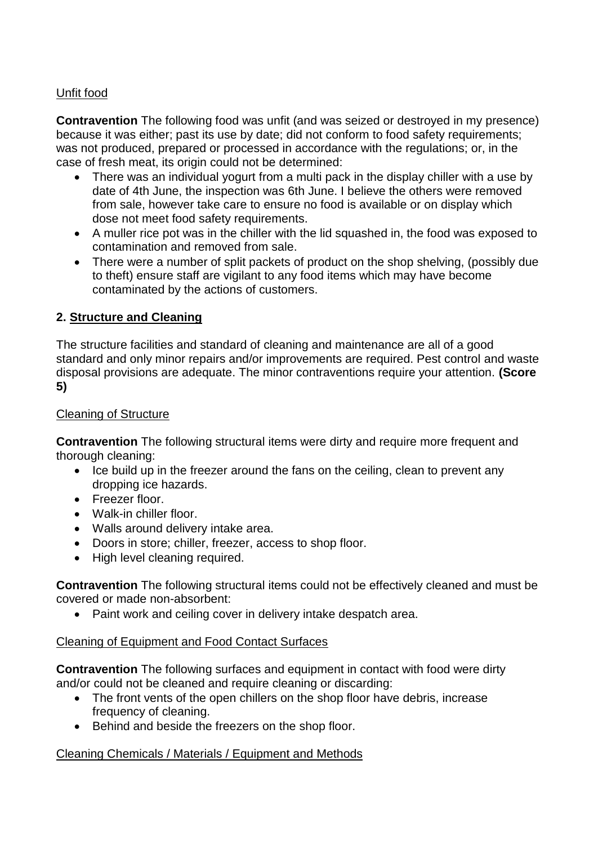## Unfit food

**Contravention** The following food was unfit (and was seized or destroyed in my presence) because it was either; past its use by date; did not conform to food safety requirements; was not produced, prepared or processed in accordance with the regulations; or, in the case of fresh meat, its origin could not be determined:

- There was an individual yogurt from a multi pack in the display chiller with a use by date of 4th June, the inspection was 6th June. I believe the others were removed from sale, however take care to ensure no food is available or on display which dose not meet food safety requirements.
- A muller rice pot was in the chiller with the lid squashed in, the food was exposed to contamination and removed from sale.
- There were a number of split packets of product on the shop shelving, (possibly due to theft) ensure staff are vigilant to any food items which may have become contaminated by the actions of customers.

## **2. Structure and Cleaning**

The structure facilities and standard of cleaning and maintenance are all of a good standard and only minor repairs and/or improvements are required. Pest control and waste disposal provisions are adequate. The minor contraventions require your attention. **(Score 5)**

### Cleaning of Structure

**Contravention** The following structural items were dirty and require more frequent and thorough cleaning:

- Ice build up in the freezer around the fans on the ceiling, clean to prevent any dropping ice hazards.
- Freezer floor.
- Walk-in chiller floor.
- Walls around delivery intake area.
- Doors in store; chiller, freezer, access to shop floor.
- High level cleaning required.

**Contravention** The following structural items could not be effectively cleaned and must be covered or made non-absorbent:

• Paint work and ceiling cover in delivery intake despatch area.

### Cleaning of Equipment and Food Contact Surfaces

**Contravention** The following surfaces and equipment in contact with food were dirty and/or could not be cleaned and require cleaning or discarding:

- The front vents of the open chillers on the shop floor have debris, increase frequency of cleaning.
- Behind and beside the freezers on the shop floor.

### Cleaning Chemicals / Materials / Equipment and Methods